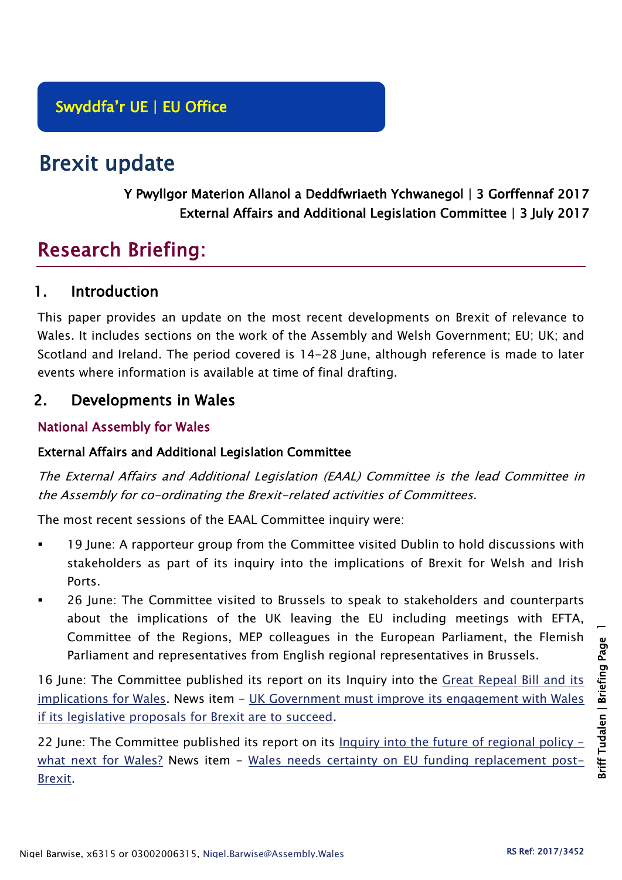# Brexit update

## Y Pwyllgor Materion Allanol a Deddfwriaeth Ychwanegol | 3 Gorffennaf 2017 External Affairs and Additional Legislation Committee | 3 July 2017

## Research Briefing:

## 1. Introduction

This paper provides an update on the most recent developments on Brexit of relevance to Wales. It includes sections on the work of the Assembly and Welsh Government; EU; UK; and Scotland and Ireland. The period covered is 14-28 June, although reference is made to later events where information is available at time of final drafting.

## 2. Developments in Wales

## National Assembly for Wales

#### External Affairs and Additional Legislation Committee

The External Affairs and Additional Legislation (EAAL) Committee is the lead Committee in the Assembly for co-ordinating the Brexit-related activities of Committees.

The most recent sessions of the EAAL Committee inquiry were:

- 19 June: A rapporteur group from the Committee visited Dublin to hold discussions with stakeholders as part of its inquiry into the implications of Brexit for Welsh and Irish Ports.
- 26 June: The Committee visited to Brussels to speak to stakeholders and counterparts about the implications of the UK leaving the EU including meetings with EFTA, Committee of the Regions, MEP colleagues in the European Parliament, the Flemish Parliament and representatives from English regional representatives in Brussels.

16 June: The Committee published its report on its Inquiry into the [Great Repeal Bill and its](http://www.assembly.wales/laid%20documents/cr-ld11079/cr-ld11079-e.pdf)  [implications for Wales.](http://www.assembly.wales/laid%20documents/cr-ld11079/cr-ld11079-e.pdf) News item - [UK Government must improve its engagement with Wales](http://www.assembly.wales/en/newhome/pages/newsitem.aspx?itemid=1729&assembly=5)  [if its legislative proposals for Brexit are to succeed.](http://www.assembly.wales/en/newhome/pages/newsitem.aspx?itemid=1729&assembly=5)

22 June: The Committee published its report on its [Inquiry into the future of regional policy](http://www.assembly.wales/laid%20documents/cr-ld11081/cr-ld11081-e.pdf)  [what next for Wales?](http://www.assembly.wales/laid%20documents/cr-ld11081/cr-ld11081-e.pdf) News item - [Wales needs certainty on EU funding replacement post-](http://www.assembly.wales/en/newhome/pages/newsitem.aspx?itemid=1731&assembly=5)[Brexit.](http://www.assembly.wales/en/newhome/pages/newsitem.aspx?itemid=1731&assembly=5)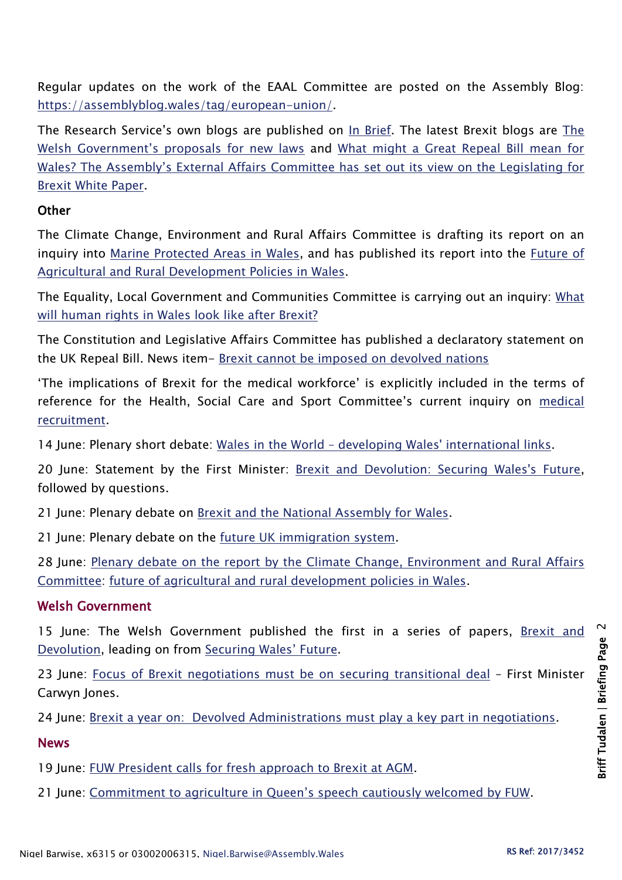Regular updates on the work of the EAAL Committee are posted on the Assembly Blog: [https://assemblyblog.wales/tag/european-union/.](https://assemblyblog.wales/tag/european-union/)

The Research Service's own blogs are published on [In Brief.](https://assemblyinbrief.wordpress.com/) [The](https://assemblyinbrief.wordpress.com/2017/06/23/the-welsh-governments-proposals-for-new-laws/) latest Brexit blogs are The [Welsh Government's proposals for new laws](https://assemblyinbrief.wordpress.com/2017/06/23/the-welsh-governments-proposals-for-new-laws/) and [What might a Great Repeal Bill mean for](https://assemblyinbrief.wordpress.com/2017/06/19/what-might-a-great-repeal-bill-mean-for-wales-the-assemblys-external-affairs-committee-has-set-out-its-view-on-the-legislating-for-brexit-white-paper/)  [Wales? The Assembly's External Affairs Committee has set out its view on the Legislating for](https://assemblyinbrief.wordpress.com/2017/06/19/what-might-a-great-repeal-bill-mean-for-wales-the-assemblys-external-affairs-committee-has-set-out-its-view-on-the-legislating-for-brexit-white-paper/)  [Brexit White Paper.](https://assemblyinbrief.wordpress.com/2017/06/19/what-might-a-great-repeal-bill-mean-for-wales-the-assemblys-external-affairs-committee-has-set-out-its-view-on-the-legislating-for-brexit-white-paper/)

#### **Other**

The Climate Change, Environment and Rural Affairs Committee is drafting its report on an inquiry into [Marine Protected Areas in Wales,](http://senedd.assembly.wales/mgIssueHistoryHome.aspx?IId=16663) and has published its report into the [Future of](http://senedd.assembly.wales/mgIssueHistoryHome.aspx?IId=15876)  [Agricultural and Rural Development Policies in Wales.](http://senedd.assembly.wales/mgIssueHistoryHome.aspx?IId=15876)

The Equality, Local Government and Communities Committee is carrying out an inquiry: [What](http://senedd.assembly.wales/mgConsultationDisplay.aspx?id=244&RPID=1008299204&cp=yes)  [will human rights in Wales look like after Brexit?](http://senedd.assembly.wales/mgConsultationDisplay.aspx?id=244&RPID=1008299204&cp=yes)

The Constitution and Legislative Affairs Committee has published a declaratory statement on the UK Repeal Bill. News item- [Brexit cannot be imposed on devolved nations](http://www.assembly.wales/en/newhome/pages/newsitem.aspx?itemid=1733&assembly=5)

'The implications of Brexit for the medical workforce' is explicitly included in the terms of reference for the Health, Social Care and Sport Committee's current inquiry on medical [recruitment.](http://senedd.assembly.wales/mgIssueHistoryHome.aspx?IId=16122)

14 June: Plenary short debate: Wales in the World – [developing Wales' international links.](http://www.assembly.wales/en/bus-home/pages/rop.aspx?meetingid=4297&assembly=5&c=Record%20of%20Proceedings#480686)

20 June: Statement by the First Minister: [Brexit and Devolution: Securing Wales's Future,](http://www.assembly.wales/en/bus-home/pages/rop.aspx?meetingid=4298&assembly=5&c=Record%20of%20Proceedings#480961) followed by questions.

21 June: Plenary debate on [Brexit and the National Assembly for Wales.](http://www.assembly.wales/en/bus-home/pages/rop.aspx?meetingid=4299&assembly=5&c=Record%20of%20Proceedings#482000)

21 June: Plenary debate on the [future UK immigration system.](http://www.assembly.wales/en/bus-home/pages/rop.aspx?meetingid=4299&assembly=5&c=Record%20of%20Proceedings#482121)

28 June: [Plenary debate on the report by the Climate Change, Environment and Rural Affairs](http://www.assembly.wales/en/bus-home/pages/rop.aspx?meetingid=4301&assembly=5&c=Record%20of%20Proceedings#484059)  [Committee:](http://www.assembly.wales/en/bus-home/pages/rop.aspx?meetingid=4301&assembly=5&c=Record%20of%20Proceedings#484059) [future of agricultural and rural development policies in Wales.](http://www.cynulliad.cymru/laid%20documents/cr-ld10995/cr-ld10995-e.pdf)

#### Welsh Government

15 June: The Welsh Government published the first in a series of papers, Brexit and [Devolution,](https://beta.gov.wales/sites/default/files/2017-06/170615-brexit%20and%20devolution%20%28en%29.pdf) leading on from [Securing Wales' Future](https://beta.gov.wales/sites/default/files/2017-02/31139%20Securing%20Wales%C2%B9%20Future_Version%202_WEB.pdf).

23 June: [Focus of Brexit negotiations must be on securing transitional deal](http://gov.wales/newsroom/firstminister/2017/170623-focus-of-brexit-negotiations-must-be-on-securing-transitional-deal/?lang=en) – First Minister Carwyn Jones.

24 June: [Brexit a year on: Devolved Administrations must play a key part in negotiations.](http://gov.wales/newsroom/finance1/2017/59134391/?lang=en)

#### News

19 June: [FUW President calls for fresh approach to Brexit at AGM.](http://fuw.org.uk/fuw-president-calls-for-fresh-approach-to-brexit-at-agm/)

21 June: Commitment to [agriculture in Queen's speech cautiously welcomed by FUW](http://fuw.org.uk/commitment-to-agriculture-in-queens-speech-cautiously-welcomed-by-fuw/).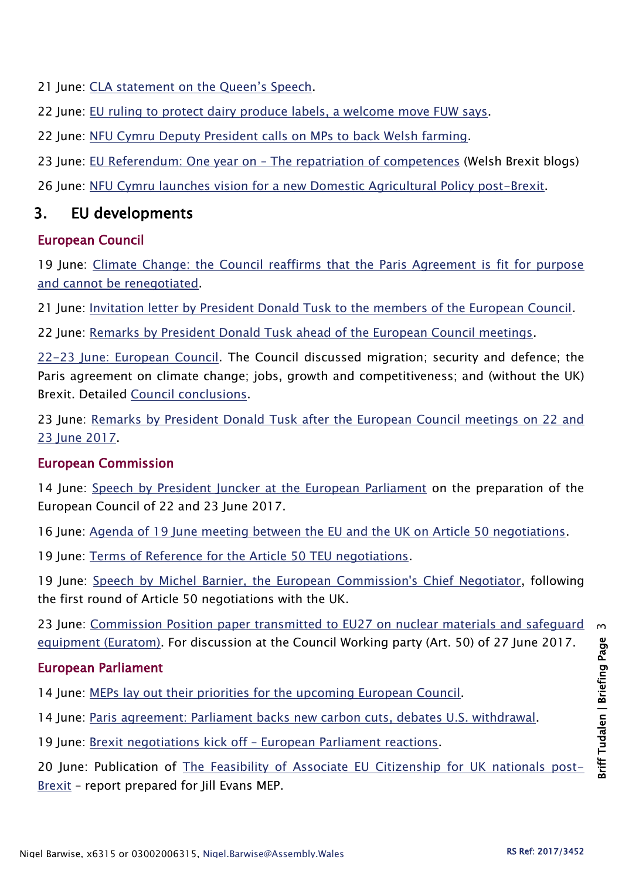21 June: CLA statement on the Oueen's Speech.

22 June: [EU ruling to protect dairy produce labels, a welcome move FUW says.](http://fuw.org.uk/eu-ruling-to-protect-dairy-produce-labels-a-welcome-move-fuw-says/)

22 June: [NFU Cymru Deputy President calls on MPs to back Welsh farming.](https://www.nfu-cymru.org.uk/news/latest-news/nfu-cymru-deputy-president-calls-on-mps-to-back-welsh-farming/)

23 June: EU Referendum: One year on – [The repatriation of competences](http://blogs.cardiff.ac.uk/brexit/2017/06/23/eu-referendum-one-year-on-the-repatriation-of-competences/) (Welsh Brexit blogs)

26 June: [NFU Cymru launches vision for a new Domestic Agricultural Policy post-Brexit.](https://www.nfu-cymru.org.uk/news/latest-news/nfu-cymru-launches-vision-for-a-new-domestic-agricultural-policy-post-brexit/)

## 3. EU developments

## European Council

19 June: Climate Change: the Council reaffirms that the Paris Agreement is fit for purpose [and cannot be renegotiated.](http://www.consilium.europa.eu/en/press/press-releases/2017/06/19-climate-change/)

21 June: [Invitation letter by President Donald Tusk to the members of the European Council.](http://www.consilium.europa.eu/en/press/press-releases/2017/06/21-tusk-invitation-letter-euco/)

22 June: [Remarks by President Donald Tusk ahead of the European Council meetings.](http://www.consilium.europa.eu/en/press/press-releases/2017/06/22-tusk-doorstep-euco/)

[22-23 June: European Council.](http://www.consilium.europa.eu/en/meetings/european-council/2017/06/22-23/) The Council discussed migration; security and defence; the Paris agreement on climate change; jobs, growth and competitiveness; and (without the UK) Brexit. Detailed [Council conclusions.](http://www.consilium.europa.eu/en/meetings/european-council/2017/06/22-23-euco-conclusions_pdf/)

23 June: [Remarks by President Donald Tusk after the European Council meetings on 22 and](http://www.consilium.europa.eu/en/press/press-releases/2017/06/23-tusk-final-remarks-european-council/)  [23 June 2017.](http://www.consilium.europa.eu/en/press/press-releases/2017/06/23-tusk-final-remarks-european-council/)

#### European Commission

14 June: [Speech by President Juncker at the European Parliament](http://europa.eu/rapid/press-release_SPEECH-17-1644_en.htm) on the preparation of the European Council of 22 and 23 June 2017.

16 June: [Agenda of 19 June meeting between the EU and the UK on Article 50 negotiations.](https://ec.europa.eu/commission/sites/beta-political/files/art50-agenda-20170619_en.pdf)

19 June: [Terms of Reference for the Article 50 TEU negotiations.](https://ec.europa.eu/commission/sites/beta-political/files/eu-uk-art-50-terms-reference_agreed_amends_en.pdf)

19 June: [Speech by Michel Barnier, the European Commission's Chief Negotiator,](http://europa.eu/rapid/press-release_SPEECH-17-1704_en.htm) following the first round of Article 50 negotiations with the UK.

23 June: [Commission Position paper transmitted to EU27 on nuclear materials and safeguard](https://ec.europa.eu/commission/sites/beta-political/files/essential-principles-nuclear-materials-safeguard-equipment_en.pdf)  [equipment \(Euratom\).](https://ec.europa.eu/commission/sites/beta-political/files/essential-principles-nuclear-materials-safeguard-equipment_en.pdf) For discussion at the Council Working party (Art. 50) of 27 June 2017.

## European Parliament

14 June: [MEPs lay out their priorities for the upcoming European Council.](http://www.europarl.europa.eu/news/en/press-room/20170609IPR77003/meps-lay-out-their-priorities-for-upcoming-european-summit)

14 June: [Paris agreement: Parliament backs new carbon cuts, debates U.S. withdrawal.](http://www.europarl.europa.eu/news/en/press-room/20170609IPR77005/paris-agreement-parliament-backs-new-carbon-cuts-debates-u-s-withdrawal)

19 June: Brexit negotiations kick off – [European Parliament reactions.](http://www.europarl.europa.eu/news/en/press-room/20170619IPR77706/brexit-negotiations-kick-off-european-parliament-reactions)

20 June: Publication of [The Feasibility of Associate EU Citizenship for UK nationals post-](https://efa.greens-efa.eu/en/article/press/possibilities-for-keeping-eu-citizenship-after-leaving-eu-set-out-in-new-report/)[Brexit](https://efa.greens-efa.eu/en/article/press/possibilities-for-keeping-eu-citizenship-after-leaving-eu-set-out-in-new-report/) – report prepared for Jill Evans MEP.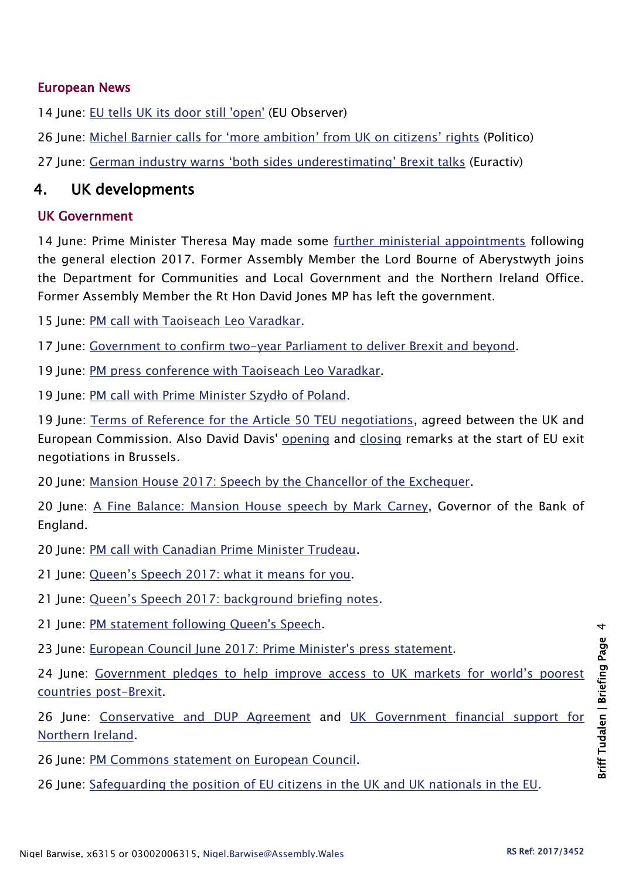#### European News

14 June: [EU tells UK its door still](https://euobserver.com/uk-referendum/138224) 'open' (EU Observer)

26 June: [Michel Barnier calls for 'more ambition' from UK on citizens' rights](http://www.politico.eu/article/michel-barnier-calls-for-more-ambition-from-uk-on-citizens-rights/) (Politico)

27 June: [German industry warns 'both sides underestimating' Brexit talks](http://www.euractiv.com/section/uk-europe/news/german-industry-warns-both-sides-underestimating-brexit-talks/) (Euractiv)

## 4. UK developments

#### UK Government

14 June: Prime Minister Theresa May made some [further ministerial appointments](https://www.gov.uk/government/news/election-2017-ministerial-appointments) following the general election 2017. Former Assembly Member the Lord Bourne of Aberystwyth joins the Department for Communities and Local Government and the Northern Ireland Office. Former Assembly Member the Rt Hon David Jones MP has left the government.

15 June: [PM call with Taoiseach Leo Varadkar.](https://www.gov.uk/government/news/pm-call-with-taoiseach-leo-varadkar-15-june-2017)

17 June: [Government to confirm two-year Parliament to deliver Brexit and beyond.](https://www.gov.uk/government/news/government-to-confirm-two-year-parliament-to-deliver-brexit-and-beyond)

19 June: [PM press conference with Taoiseach Leo Varadkar.](https://www.gov.uk/government/speeches/pm-press-conference-with-taoiseach-leo-varadkar-19-june-2017)

19 June: [PM call with Prime Minister Szyd](https://www.gov.uk/government/news/pm-call-with-prime-minister-szydlo-of-poland-19-june-2017)ło of Poland.

19 June: [Terms of Reference for the Article 50 TEU negotiations,](https://www.gov.uk/government/uploads/system/uploads/attachment_data/file/620409/Terms_of_reference_for_the_Article_50_negotiations_between_the_United_Kingdom_and_the_European_Union.pdf) agreed between the UK and European Commission. Also David Davis' [opening](https://www.gov.uk/government/news/david-davis-opening-remarks-at-the-start-of-eu-exit-negotiations-in-brussels) and [closing](https://www.gov.uk/government/news/secretary-of-state-david-davis-statement-following-the-opening-of-eu-exit-negotiations) remarks at the start of EU exit negotiations in Brussels.

20 June: [Mansion House 2017: Speech by the Chancellor of the Exchequer.](https://www.gov.uk/government/speeches/mansion-house-2017-speech-by-the-chancellor-of-the-exchequer)

20 June: [A Fine Balance: Mansion House speech by Mark Carney,](http://www.bankofengland.co.uk/publications/Documents/speeches/2017/speech983.pdf) Governor of the Bank of England.

20 June: [PM call with Canadian Prime Minister Trudeau.](https://www.gov.uk/government/news/pm-call-with-canadian-prime-minister-trudeau-20-june-2017)

21 June: Queen's Speech 2[017: what it means for you.](https://www.gov.uk/government/publications/queens-speech-2017-what-it-means-for-you/queens-speech-2017-what-it-means-for-you)

21 June: [Queen's Speech 2017: background briefing notes](https://www.gov.uk/government/uploads/system/uploads/attachment_data/file/620838/Queens_speech_2017_background_notes.pdf).

21 June: [PM statement following Queen's Speech.](https://www.gov.uk/government/speeches/pm-queens-speech-statement-to-parliament-21-june-2017)

23 June: [European Council June 2017: Prime Minister's press statement.](https://www.gov.uk/government/speeches/european-council-june-2017-prime-ministers-press-statement)

24 June: [Government pledges to help improve access to UK](https://www.gov.uk/government/news/government-pledges-to-help-improve-access-to-uk-markets-for-worlds-poorest-countries-post-brexit) markets for world's poorest [countries post-Brexit.](https://www.gov.uk/government/news/government-pledges-to-help-improve-access-to-uk-markets-for-worlds-poorest-countries-post-brexit)

26 June: [Conservative and DUP Agreement](https://www.gov.uk/government/uploads/system/uploads/attachment_data/file/621794/Confidence_and_Supply_Agreement_between_the_Conservative_Party_and_the_DUP.pdf) and [UK Government financial support for](https://www.gov.uk/government/uploads/system/uploads/attachment_data/file/621797/UK_Govt__financial_support_for_Northern_Ireland.pdf)  [Northern Ireland.](https://www.gov.uk/government/uploads/system/uploads/attachment_data/file/621797/UK_Govt__financial_support_for_Northern_Ireland.pdf)

26 June: [PM Commons statement on European Council.](https://www.gov.uk/government/speeches/pm-commons-statement-on-european-council-26-june-2017)

26 June: [Safeguarding the position of EU citizens in the UK and UK nationals in the EU.](https://www.gov.uk/government/uploads/system/uploads/attachment_data/file/621848/60093_Cm9464_NSS_SDR_Web.pdf)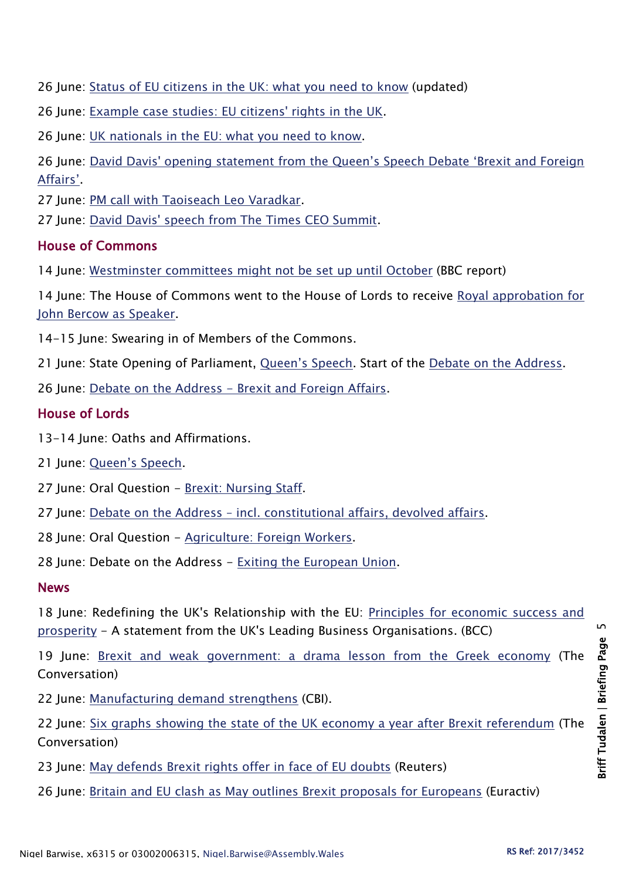26 June: [Status of EU citizens in the UK: what you need to know](https://www.gov.uk/guidance/status-of-eu-nationals-in-the-uk-what-you-need-to-know) (updated)

26 June: [Example case studies: EU citizens' rights in the UK.](https://www.gov.uk/government/case-studies/example-case-studies-eu-citizens-rights-in-the-uk)

26 June: [UK nationals in the EU: what you need to know.](https://www.gov.uk/guidance/advice-for-british-nationals-travelling-and-living-in-europe)

26 June: David Davis' opening statement [from the Queen's Speech Debate 'Brexit and Foreign](https://www.gov.uk/government/news/david-davis-opening-statement-from-the-queens-speech-debate-brexit-and-foreign-affairs)  [Affairs'](https://www.gov.uk/government/news/david-davis-opening-statement-from-the-queens-speech-debate-brexit-and-foreign-affairs).

27 June: [PM call with Taoiseach Leo Varadkar.](https://www.gov.uk/government/news/pm-call-with-taoiseach-leo-varadkar-27-june-2017)

27 June: [David Davis' speech from The Times CEO Summit.](https://www.gov.uk/government/news/david-davis-speech-from-the-times-ceo-summit)

#### House of Commons

14 June: [Westminster committees might not be set up until October](http://www.bbc.co.uk/news/uk-politics-parliaments-40273923) (BBC report)

14 June: The House of Commons went to the House of Lords to receive [Royal approbation for](https://hansard.parliament.uk/Lords/2017-06-14/debates/18BD0DC5-0939-4AAB-9253-B7400F178A82/SpeakerOfTheHouseOfCommons)  [John Bercow as Speaker.](https://hansard.parliament.uk/Lords/2017-06-14/debates/18BD0DC5-0939-4AAB-9253-B7400F178A82/SpeakerOfTheHouseOfCommons)

14-15 June: Swearing in of Members of the Commons.

21 June: State Opening of Parliament, [Queen's Speech](https://hansard.parliament.uk/Commons/2017-06-21/debates/0E257B20-DDA1-4680-B56D-E0A72E9FF911/Queen%E2%80%99SSpeech). Start of the [Debate on the Address.](https://hansard.parliament.uk/Commons/2017-06-21/debates/16CAF0D8-37D0-41D6-AE61-264FD03429CB/DebateOnTheAddress)

26 June: Debate on the Address - [Brexit and Foreign Affairs.](https://hansard.parliament.uk/Commons/2017-06-26/debates/23371B16-D7B1-40BA-9816-496F482156D9/BrexitAndForeignAffairs)

#### House of Lords

13-14 June: Oaths and Affirmations.

21 June: [Queen's Speech](https://hansard.parliament.uk/Lords/2017-06-21/debates/359B47E0-E2CB-41F8-908C-4294844C1518/Queen%E2%80%99SSpeech).

27 June: Oral Question - [Brexit: Nursing Staff.](https://hansard.parliament.uk/lords/2017-06-27/debates/3E75EA58-3D23-4ED9-B927-F7AC348803F7/BrexitNursingStaff)

27 June: Debate on the Address – [incl. constitutional affairs, devolved affairs.](https://hansard.parliament.uk/lords/2017-06-27/debates/A4E7BDD8-94A4-4C34-A740-DE0C36289C01/Queen%E2%80%99SSpeech)

28 June: Oral Question - [Agriculture: Foreign Workers.](https://hansard.parliament.uk/Lords/2017-06-28/debates/578A0627-1F85-4241-AF7F-771152B5248F/AgricultureForeignWorkers)

28 June: Debate on the Address - [Exiting the European Union.](https://hansard.parliament.uk/Lords/2017-06-28/debates/40B43E18-6186-4489-850A-95DCF873272E/Queen%E2%80%99SSpeech)

## **News**

18 June: Redefining the UK's Relationship with the EU: [Principles for economic success and](http://www.britishchambers.org.uk/press-office/press-releases/redefining-the-uks-relationship-with-the-eu-principles-for-economic-success-and-prosperity.html)  [prosperity](http://www.britishchambers.org.uk/press-office/press-releases/redefining-the-uks-relationship-with-the-eu-principles-for-economic-success-and-prosperity.html) - A statement from the UK's Leading Business Organisations. (BCC)

19 June: [Brexit and weak government: a drama lesson from the Greek economy](https://theconversation.com/brexit-and-weak-government-a-drama-lesson-from-the-greek-economy-79392) (The Conversation)

22 June: [Manufacturing demand strengthens](http://www.cbi.org.uk/news/manufacturing-demand-strengthens/) (CBI).

22 June: [Six graphs showing the state of the UK economy a year after Brexit referendum](https://theconversation.com/six-graphs-showing-the-state-of-the-uk-economy-a-year-after-brexit-referendum-79598) (The Conversation)

- 23 June: [May defends Brexit rights offer in face of EU doubts](http://uk.reuters.com/article/uk-britain-eu-idUKKBN19E0SC) (Reuters)
- 26 June: [Britain and EU clash as May outlines Brexit proposals for Europeans](http://www.euractiv.com/section/justice-home-affairs/news/britain-and-eu-clash-as-may-outlines-brexit-proposals-for-europeans/) (Euractiv)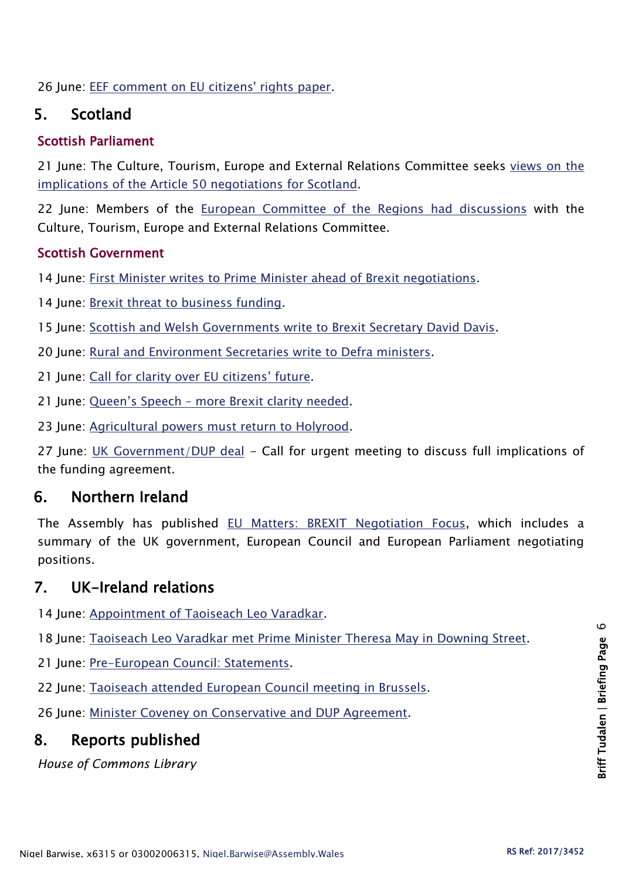26 June: [EEF comment on EU citizens' rights paper.](https://www.eef.org.uk/about-eef/media-news-and-insights/media-releases/2017/jun/eef-comment-on-eu-citizens-rights-paper)

## 5. Scotland

#### Scottish Parliament

21 June: The Culture, Tourism, Europe and External Relations Committee seeks [views on the](http://www.parliament.scot/newsandmediacentre/105413.aspx)  [implications of the Article 50 negotiations](http://www.parliament.scot/newsandmediacentre/105413.aspx) for Scotland.

22 June: Members of the [European Committee of the Regions had discussions](http://www.parliament.scot/newsandmediacentre/105427.aspx) with the Culture, Tourism, Europe and External Relations Committee.

#### Scottish Government

14 June: [First Minister writes to Prime Minister ahead of Brexit negotiations.](https://news.gov.scot/news/first-minister-writes-to-prime-minister-ahead-of-brexit-negotiations)

14 June: [Brexit threat to business funding.](https://news.gov.scot/news/brexit-threat-to-business-funding)

15 June: [Scottish and Welsh Governments write to Brexit Secretary David Davis.](https://news.gov.scot/news/scottish-and-welsh-governments-writes-to-brexit-secretary-david-davis)

20 June: [Rural and Environment Secretaries write to Defra ministers.](https://news.gov.scot/news/rural-and-environment-secretaries-write-to-defra-ministers)

21 June: Cal[l for clarity over EU citizens' future](https://news.gov.scot/news/call-for-clarity-over-eu-citizens-future).

21 June: Queen's Speech – [more Brexit clarity needed.](https://news.gov.scot/news/queens-speech-more-brexit-clarity-needed)

23 June: [Agricultural powers must return to Holyrood.](https://news.gov.scot/news/agricultural-powers-must-return-to-holyrood)

27 June: [UK Government/DUP deal](https://news.gov.scot/news/uk-governmentdup-deal) - Call for urgent meeting to discuss full implications of the funding agreement.

## 6. Northern Ireland

The Assembly has published [EU Matters: BREXIT Negotiation Focus,](http://www.niassembly.gov.uk/assembly-business/eu-matters/newsletters/issue-012017/) which includes a summary of the UK government, European Council and European Parliament negotiating positions.

## 7. UK-Ireland relations

14 June: [Appointment of Taoiseach Leo Varadkar.](http://oireachtasdebates.oireachtas.ie/debates%20authoring/debateswebpack.nsf/takes/dail2017061400029?opendocument#FFF00100)

18 June: [Taoiseach Leo Varadkar met Prime Minister Theresa May in Downing Street.](http://www.merrionstreet.ie/en/News-Room/News/Taoiseach_Leo_Varadkar_TD_to_meet_Prime_Minister_Theresa_May_in_Downing_StreetTaoiseach_Leo_Varadkar_to_meet_Prime_Minister_Theresa_May_in_Downing_Street.html)

21 June: [Pre-European Council: Statements.](http://oireachtasdebates.oireachtas.ie/debates%20authoring/debateswebpack.nsf/takes/dail2017062100023?opendocument)

22 June: [Taoiseach attended European Council meeting in Brussels.](http://www.merrionstreet.ie/en/News-Room/News/Taoiseach_attending_European_Council_meeting_in_Brussels.html)

26 June: [Minister Coveney on Conservative and DUP Agreement.](http://www.merrionstreet.ie/en/News-Room/News/Statement_by_Minister_Coveney_on_Conservative_and_DUP_Agreement.html)

## 8. Reports published

*House of Commons Library*